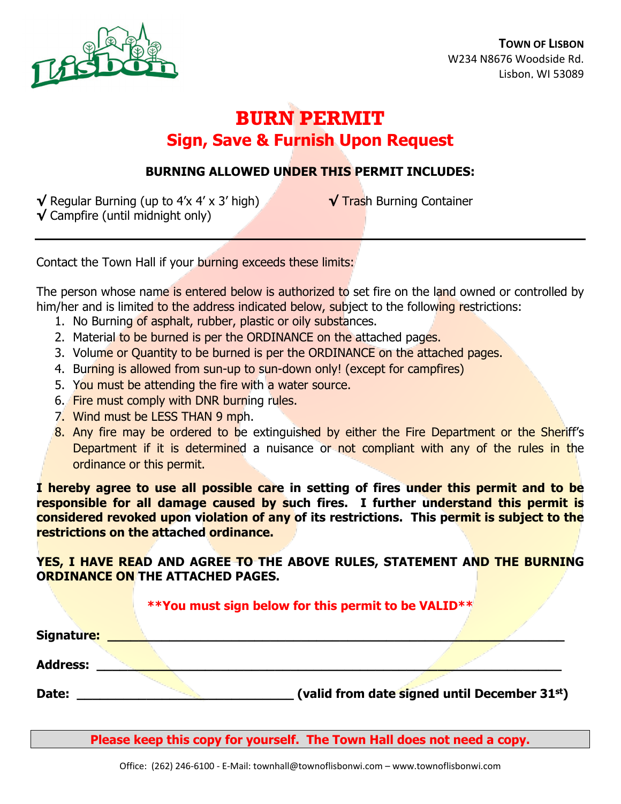

# **BURN PERMIT Sign, Save & Furnish Upon Request**

## **BURNING ALLOWED UNDER THIS PERMIT INCLUDES:**

**√** Regular Burning (up to 4'x 4' x 3' high) **√** Trash Burning Container **√** Campfire (until midnight only)

Contact the Town Hall if your burning exceeds these limits:

The person whose name is entered below is authorized to set fire on the land owned or controlled by him/her and is limited to the address indicated below, subject to the following restrictions:

- 1. No Burning of asphalt, rubber, plastic or oily substances.
- 2. Material to be burned is per the ORDINANCE on the attached pages.
- 3. Volume or Quantity to be burned is per the ORDINANCE on the attached pages.
- 4. Burning is allowed from sun-up to sun-down only! (except for campfires)
- 5. You must be attending the fire with a water source.
- 6. Fire must comply with DNR burning rules.
- 7. Wind must be LESS THAN 9 mph.
- 8. Any fire may be ordered to be extinguished by either the Fire Department or the Sheriff's Department if it is determined a nuisance or not compliant with any of the rules in the ordinance or this permit.

**I hereby agree to use all possible care in setting of fires under this permit and to be responsible for all damage caused by such fires. I further understand this permit is considered revoked upon violation of any of its restrictions. This permit is subject to the restrictions on the attached ordinance.**

**YES, I HAVE READ AND AGREE TO THE ABOVE RULES, STATEMENT AND THE BURNING ORDINANCE ON THE ATTACHED PAGES.** 

### **\*\*You must sign below for this permit to be VALID\*\***

| Signature:      |                                              |  |
|-----------------|----------------------------------------------|--|
| <b>Address:</b> |                                              |  |
| Date:           | (valid from date signed until December 31st) |  |

**Please keep this copy for yourself. The Town Hall does not need a copy.**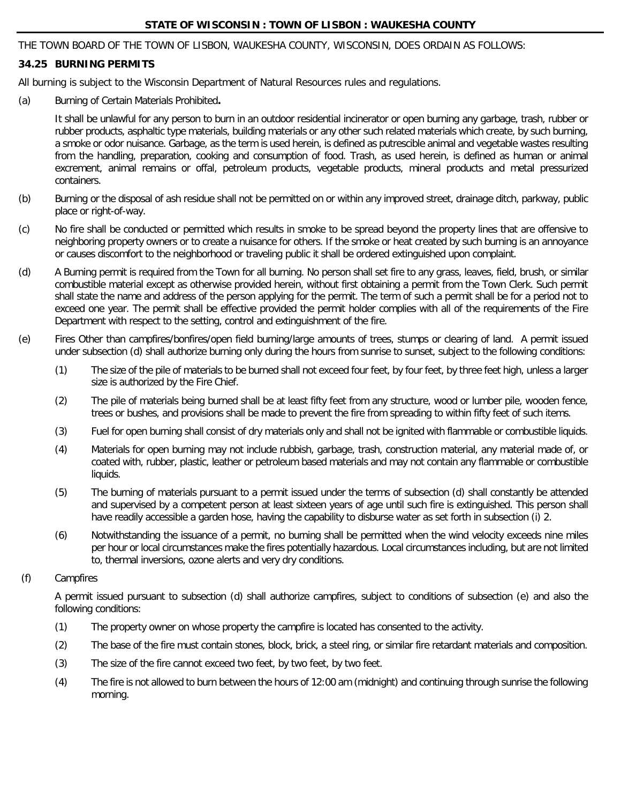#### **STATE OF WISCONSIN : TOWN OF LISBON : WAUKESHA COUNTY**

THE TOWN BOARD OF THE TOWN OF LISBON, WAUKESHA COUNTY, WISCONSIN, DOES ORDAIN AS FOLLOWS:

#### **34.25 BURNING PERMITS**

All burning is subject to the Wisconsin Department of Natural Resources rules and regulations.

(a) Burning of Certain Materials Prohibited**.** 

It shall be unlawful for any person to burn in an outdoor residential incinerator or open burning any garbage, trash, rubber or rubber products, asphaltic type materials, building materials or any other such related materials which create, by such burning, a smoke or odor nuisance. Garbage, as the term is used herein, is defined as putrescible animal and vegetable wastes resulting from the handling, preparation, cooking and consumption of food. Trash, as used herein, is defined as human or animal excrement, animal remains or offal, petroleum products, vegetable products, mineral products and metal pressurized containers.

- (b) Burning or the disposal of ash residue shall not be permitted on or within any improved street, drainage ditch, parkway, public place or right-of-way.
- (c) No fire shall be conducted or permitted which results in smoke to be spread beyond the property lines that are offensive to neighboring property owners or to create a nuisance for others. If the smoke or heat created by such burning is an annoyance or causes discomfort to the neighborhood or traveling public it shall be ordered extinguished upon complaint.
- (d) A Burning permit is required from the Town for all burning. No person shall set fire to any grass, leaves, field, brush, or similar combustible material except as otherwise provided herein, without first obtaining a permit from the Town Clerk. Such permit shall state the name and address of the person applying for the permit. The term of such a permit shall be for a period not to exceed one year. The permit shall be effective provided the permit holder complies with all of the requirements of the Fire Department with respect to the setting, control and extinguishment of the fire.
- (e) Fires Other than campfires/bonfires/open field burning/large amounts of trees, stumps or clearing of land. A permit issued under subsection (d) shall authorize burning only during the hours from sunrise to sunset, subject to the following conditions:
	- (1) The size of the pile of materials to be burned shall not exceed four feet, by four feet, by three feet high, unless a larger size is authorized by the Fire Chief.
	- (2) The pile of materials being burned shall be at least fifty feet from any structure, wood or lumber pile, wooden fence, trees or bushes, and provisions shall be made to prevent the fire from spreading to within fifty feet of such items.
	- (3) Fuel for open burning shall consist of dry materials only and shall not be ignited with flammable or combustible liquids.
	- (4) Materials for open burning may not include rubbish, garbage, trash, construction material, any material made of, or coated with, rubber, plastic, leather or petroleum based materials and may not contain any flammable or combustible liquids.
	- (5) The burning of materials pursuant to a permit issued under the terms of subsection (d) shall constantly be attended and supervised by a competent person at least sixteen years of age until such fire is extinguished. This person shall have readily accessible a garden hose, having the capability to disburse water as set forth in subsection (i) 2.
	- (6) Notwithstanding the issuance of a permit, no burning shall be permitted when the wind velocity exceeds nine miles per hour or local circumstances make the fires potentially hazardous. Local circumstances including, but are not limited to, thermal inversions, ozone alerts and very dry conditions.

#### (f) Campfires

A permit issued pursuant to subsection (d) shall authorize campfires, subject to conditions of subsection (e) and also the following conditions:

- (1) The property owner on whose property the campfire is located has consented to the activity.
- (2) The base of the fire must contain stones, block, brick, a steel ring, or similar fire retardant materials and composition.
- (3) The size of the fire cannot exceed two feet, by two feet, by two feet.
- (4) The fire is not allowed to burn between the hours of 12:00 am (midnight) and continuing through sunrise the following morning.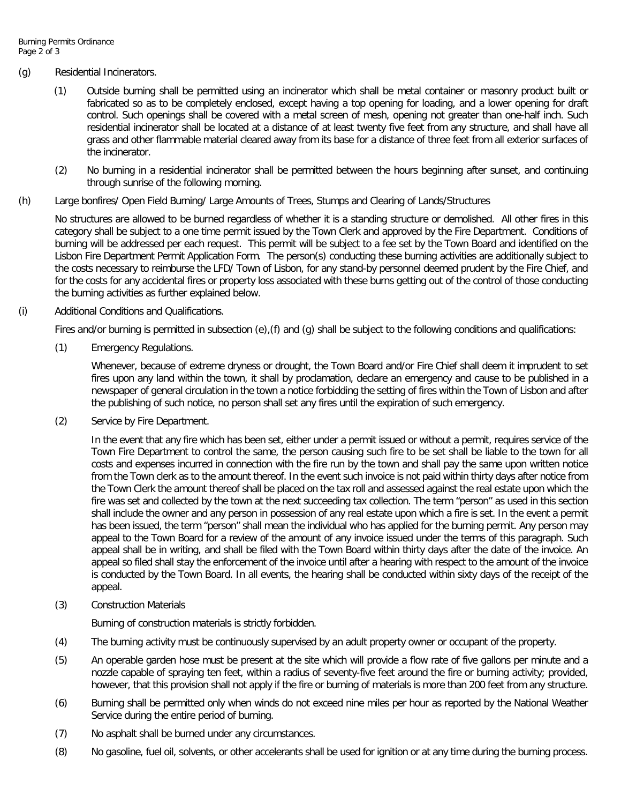#### (g) Residential Incinerators.

- (1) Outside burning shall be permitted using an incinerator which shall be metal container or masonry product built or fabricated so as to be completely enclosed, except having a top opening for loading, and a lower opening for draft control. Such openings shall be covered with a metal screen of mesh, opening not greater than one-half inch. Such residential incinerator shall be located at a distance of at least twenty five feet from any structure, and shall have all grass and other flammable material cleared away from its base for a distance of three feet from all exterior surfaces of the incinerator.
- (2) No burning in a residential incinerator shall be permitted between the hours beginning after sunset, and continuing through sunrise of the following morning.
- (h) Large bonfires/ Open Field Burning/ Large Amounts of Trees, Stumps and Clearing of Lands/Structures

No structures are allowed to be burned regardless of whether it is a standing structure or demolished. All other fires in this category shall be subject to a one time permit issued by the Town Clerk and approved by the Fire Department. Conditions of burning will be addressed per each request. This permit will be subject to a fee set by the Town Board and identified on the Lisbon Fire Department Permit Application Form. The person(s) conducting these burning activities are additionally subject to the costs necessary to reimburse the LFD/ Town of Lisbon, for any stand-by personnel deemed prudent by the Fire Chief, and for the costs for any accidental fires or property loss associated with these burns getting out of the control of those conducting the burning activities as further explained below.

(i) Additional Conditions and Qualifications.

Fires and/or burning is permitted in subsection (e),(f) and (g) shall be subject to the following conditions and qualifications:

(1) Emergency Regulations.

Whenever, because of extreme dryness or drought, the Town Board and/or Fire Chief shall deem it imprudent to set fires upon any land within the town, it shall by proclamation, declare an emergency and cause to be published in a newspaper of general circulation in the town a notice forbidding the setting of fires within the Town of Lisbon and after the publishing of such notice, no person shall set any fires until the expiration of such emergency.

(2) Service by Fire Department.

In the event that any fire which has been set, either under a permit issued or without a permit, requires service of the Town Fire Department to control the same, the person causing such fire to be set shall be liable to the town for all costs and expenses incurred in connection with the fire run by the town and shall pay the same upon written notice from the Town clerk as to the amount thereof. In the event such invoice is not paid within thirty days after notice from the Town Clerk the amount thereof shall be placed on the tax roll and assessed against the real estate upon which the fire was set and collected by the town at the next succeeding tax collection. The term "person" as used in this section shall include the owner and any person in possession of any real estate upon which a fire is set. In the event a permit has been issued, the term "person" shall mean the individual who has applied for the burning permit. Any person may appeal to the Town Board for a review of the amount of any invoice issued under the terms of this paragraph. Such appeal shall be in writing, and shall be filed with the Town Board within thirty days after the date of the invoice. An appeal so filed shall stay the enforcement of the invoice until after a hearing with respect to the amount of the invoice is conducted by the Town Board. In all events, the hearing shall be conducted within sixty days of the receipt of the appeal.

(3) Construction Materials

Burning of construction materials is strictly forbidden.

- (4) The burning activity must be continuously supervised by an adult property owner or occupant of the property.
- (5) An operable garden hose must be present at the site which will provide a flow rate of five gallons per minute and a nozzle capable of spraying ten feet, within a radius of seventy-five feet around the fire or burning activity; provided, however, that this provision shall not apply if the fire or burning of materials is more than 200 feet from any structure.
- (6) Burning shall be permitted only when winds do not exceed nine miles per hour as reported by the National Weather Service during the entire period of burning.
- (7) No asphalt shall be burned under any circumstances.
- (8) No gasoline, fuel oil, solvents, or other accelerants shall be used for ignition or at any time during the burning process.